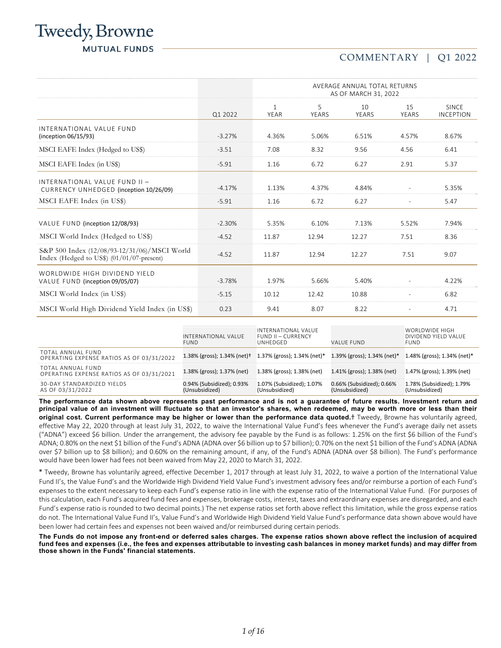# Tweedy, Browne **MUTUAL FUNDS**

## COMMENTARY | Q1 2022

|                                                                                              |          | AVERAGE ANNUAL TOTAL RETURNS<br>AS OF MARCH 31, 2022 |                   |             |                          |                                  |
|----------------------------------------------------------------------------------------------|----------|------------------------------------------------------|-------------------|-------------|--------------------------|----------------------------------|
|                                                                                              | Q1 2022  | $\mathbf{1}$<br><b>YEAR</b>                          | 5<br><b>YEARS</b> | 10<br>YEARS | 15<br>YEARS              | <b>SINCE</b><br><b>INCEPTION</b> |
| INTERNATIONAL VALUE FUND<br>(inception 06/15/93)                                             | $-3.27%$ | 4.36%                                                | 5.06%             | 6.51%       | 4.57%                    | 8.67%                            |
| MSCI EAFE Index (Hedged to US\$)                                                             | $-3.51$  | 7.08                                                 | 8.32              | 9.56        | 4.56                     | 6.41                             |
| MSCI EAFE Index (in US\$)                                                                    | $-5.91$  | 1.16                                                 | 6.72              | 6.27        | 2.91                     | 5.37                             |
| INTERNATIONAL VALUE FUND II -<br>CURRENCY UNHEDGED (inception 10/26/09)                      | $-4.17%$ | 1.13%                                                | 4.37%             | 4.84%       | $\sim$                   | 5.35%                            |
| MSCI EAFE Index (in US\$)                                                                    | $-5.91$  | 1.16                                                 | 6.72              | 6.27        | $\sim$                   | 5.47                             |
| VALUE FUND (inception 12/08/93)                                                              | $-2.30%$ | 5.35%                                                | 6.10%             | 7.13%       | 5.52%                    | 7.94%                            |
| MSCI World Index (Hedged to US\$)                                                            | $-4.52$  | 11.87                                                | 12.94             | 12.27       | 7.51                     | 8.36                             |
| S&P 500 Index (12/08/93-12/31/06)/MSCI World<br>Index (Hedged to US\$) $(01/01/07$ -present) | $-4.52$  | 11.87                                                | 12.94             | 12.27       | 7.51                     | 9.07                             |
| WORLDWIDE HIGH DIVIDEND YIELD<br>VALUE FUND (inception 09/05/07)                             | $-3.78%$ | 1.97%                                                | 5.66%             | 5.40%       | $\overline{\phantom{a}}$ | 4.22%                            |
| MSCI World Index (in US\$)                                                                   | $-5.15$  | 10.12                                                | 12.42             | 10.88       | $\equiv$                 | 6.82                             |
| MSCI World High Dividend Yield Index (in US\$)                                               | 0.23     | 9.41                                                 | 8.07              | 8.22        | $\blacksquare$           | 4.71                             |

|                                                                | INTERNATIONAL VALUE<br>FUND.                | INTERNATIONAL VALUE<br><b>FUND II - CURRENCY</b><br>UNHEDGED | VALUE FUND                                  | WORLDWIDE HIGH<br>DIVIDEND YIELD VALUE<br><b>FUND</b> |
|----------------------------------------------------------------|---------------------------------------------|--------------------------------------------------------------|---------------------------------------------|-------------------------------------------------------|
| TOTAL ANNUAL FUND<br>OPERATING EXPENSE RATIOS AS OF 03/31/2022 | 1.38% (gross); 1.34% (net)+                 | 1.37% (gross); 1.34% (net)*                                  | 1.39% (gross); 1.34% (net)*                 | 1.48% (gross); 1.34% (net)*                           |
| TOTAL ANNUAL FUND<br>OPERATING EXPENSE RATIOS AS OF 03/31/2021 | 1.38% (gross); 1.37% (net)                  | 1.38% (gross); 1.38% (net)                                   | 1.41% (gross); 1.38% (net)                  | 1.47% (gross); 1.39% (net)                            |
| 30-DAY STANDARDIZED YIELDS<br>AS OF 03/31/2022                 | 0.94% (Subsidized); 0.93%<br>(Unsubsidized) | 1.07% (Subsidized); 1.07%<br>(Unsubsidized)                  | 0.66% (Subsidized); 0.66%<br>(Unsubsidized) | 1.78% (Subsidized); 1.79%<br>(Unsubsidized)           |

**The performance data shown above represents past performance and is not a guarantee of future results. Investment return and principal value of an investment will fluctuate so that an investor's shares, when redeemed, may be worth more or less than their original cost. Current performance may be higher or lower than the performance data quoted.**† Tweedy, Browne has voluntarily agreed, effective May 22, 2020 through at least July 31, 2022, to waive the International Value Fund's fees whenever the Fund's average daily net assets ("ADNA") exceed \$6 billion. Under the arrangement, the advisory fee payable by the Fund is as follows: 1.25% on the first \$6 billion of the Fund's ADNA; 0.80% on the next \$1 billion of the Fund's ADNA (ADNA over \$6 billion up to \$7 billion); 0.70% on the next \$1 billion of the Fund's ADNA (ADNA over \$7 billion up to \$8 billion); and 0.60% on the remaining amount, if any, of the Fund's ADNA (ADNA over \$8 billion). The Fund's performance would have been lower had fees not been waived from May 22, 2020 to March 31, 2022.

**\*** Tweedy, Browne has voluntarily agreed, effective December 1, 2017 through at least July 31, 2022, to waive a portion of the International Value Fund II's, the Value Fund's and the Worldwide High Dividend Yield Value Fund's investment advisory fees and/or reimburse a portion of each Fund's expenses to the extent necessary to keep each Fund's expense ratio in line with the expense ratio of the International Value Fund. (For purposes of this calculation, each Fund's acquired fund fees and expenses, brokerage costs, interest, taxes and extraordinary expenses are disregarded, and each Fund's expense ratio is rounded to two decimal points.) The net expense ratios set forth above reflect this limitation, while the gross expense ratios do not. The International Value Fund II's, Value Fund's and Worldwide High Dividend Yield Value Fund's performance data shown above would have been lower had certain fees and expenses not been waived and/or reimbursed during certain periods.

**The Funds do not impose any front-end or deferred sales charges. The expense ratios shown above reflect the inclusion of acquired fund fees and expenses (i.e., the fees and expenses attributable to investing cash balances in money market funds) and may differ from those shown in the Funds' financial statements.**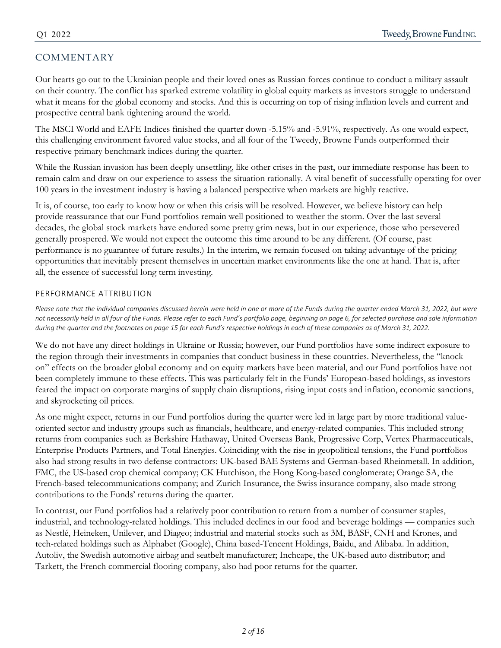## COMMENTARY

Our hearts go out to the Ukrainian people and their loved ones as Russian forces continue to conduct a military assault on their country. The conflict has sparked extreme volatility in global equity markets as investors struggle to understand what it means for the global economy and stocks. And this is occurring on top of rising inflation levels and current and prospective central bank tightening around the world.

The MSCI World and EAFE Indices finished the quarter down -5.15% and -5.91%, respectively. As one would expect, this challenging environment favored value stocks, and all four of the Tweedy, Browne Funds outperformed their respective primary benchmark indices during the quarter.

While the Russian invasion has been deeply unsettling, like other crises in the past, our immediate response has been to remain calm and draw on our experience to assess the situation rationally. A vital benefit of successfully operating for over 100 years in the investment industry is having a balanced perspective when markets are highly reactive.

It is, of course, too early to know how or when this crisis will be resolved. However, we believe history can help provide reassurance that our Fund portfolios remain well positioned to weather the storm. Over the last several decades, the global stock markets have endured some pretty grim news, but in our experience, those who persevered generally prospered. We would not expect the outcome this time around to be any different. (Of course, past performance is no guarantee of future results.) In the interim, we remain focused on taking advantage of the pricing opportunities that inevitably present themselves in uncertain market environments like the one at hand. That is, after all, the essence of successful long term investing.

## PERFORMANCE ATTRIBUTION

Please note that the individual companies discussed herein were held in one or more of the Funds during the quarter ended March 31, 2022, but were not necessarily held in all four of the Funds. Please refer to each Fund's portfolio page, beginning on page 6, for selected purchase and sale information during the quarter and the footnotes on page 15 for each Fund's respective holdings in each of these companies as of March 31, 2022.

We do not have any direct holdings in Ukraine or Russia; however, our Fund portfolios have some indirect exposure to the region through their investments in companies that conduct business in these countries. Nevertheless, the "knock on" effects on the broader global economy and on equity markets have been material, and our Fund portfolios have not been completely immune to these effects. This was particularly felt in the Funds' European-based holdings, as investors feared the impact on corporate margins of supply chain disruptions, rising input costs and inflation, economic sanctions, and skyrocketing oil prices.

As one might expect, returns in our Fund portfolios during the quarter were led in large part by more traditional valueoriented sector and industry groups such as financials, healthcare, and energy-related companies. This included strong returns from companies such as Berkshire Hathaway, United Overseas Bank, Progressive Corp, Vertex Pharmaceuticals, Enterprise Products Partners, and Total Energies. Coinciding with the rise in geopolitical tensions, the Fund portfolios also had strong results in two defense contractors: UK-based BAE Systems and German-based Rheinmetall. In addition, FMC, the US-based crop chemical company; CK Hutchison, the Hong Kong-based conglomerate; Orange SA, the French-based telecommunications company; and Zurich Insurance, the Swiss insurance company, also made strong contributions to the Funds' returns during the quarter.

In contrast, our Fund portfolios had a relatively poor contribution to return from a number of consumer staples, industrial, and technology-related holdings. This included declines in our food and beverage holdings — companies such as Nestlé, Heineken, Unilever, and Diageo; industrial and material stocks such as 3M, BASF, CNH and Krones, and tech-related holdings such as Alphabet (Google), China based-Tencent Holdings, Baidu, and Alibaba. In addition, Autoliv, the Swedish automotive airbag and seatbelt manufacturer; Inchcape, the UK-based auto distributor; and Tarkett, the French commercial flooring company, also had poor returns for the quarter.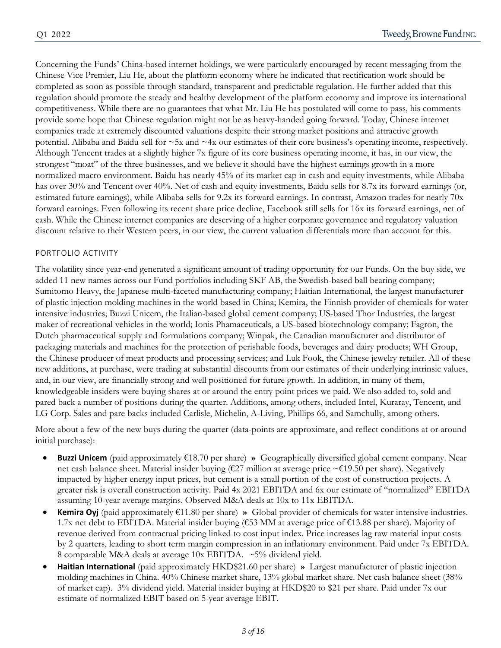Concerning the Funds' China-based internet holdings, we were particularly encouraged by recent messaging from the Chinese Vice Premier, Liu He, about the platform economy where he indicated that rectification work should be completed as soon as possible through standard, transparent and predictable regulation. He further added that this regulation should promote the steady and healthy development of the platform economy and improve its international competitiveness. While there are no guarantees that what Mr. Liu He has postulated will come to pass, his comments provide some hope that Chinese regulation might not be as heavy-handed going forward. Today, Chinese internet companies trade at extremely discounted valuations despite their strong market positions and attractive growth potential. Alibaba and Baidu sell for ~5x and ~4x our estimates of their core business's operating income, respectively. Although Tencent trades at a slightly higher 7x figure of its core business operating income, it has, in our view, the strongest "moat" of the three businesses, and we believe it should have the highest earnings growth in a more normalized macro environment. Baidu has nearly 45% of its market cap in cash and equity investments, while Alibaba has over 30% and Tencent over 40%. Net of cash and equity investments, Baidu sells for 8.7x its forward earnings (or, estimated future earnings), while Alibaba sells for 9.2x its forward earnings. In contrast, Amazon trades for nearly 70x forward earnings. Even following its recent share price decline, Facebook still sells for 16x its forward earnings, net of cash. While the Chinese internet companies are deserving of a higher corporate governance and regulatory valuation discount relative to their Western peers, in our view, the current valuation differentials more than account for this.

### PORTFOLIO ACTIVITY

The volatility since year-end generated a significant amount of trading opportunity for our Funds. On the buy side, we added 11 new names across our Fund portfolios including SKF AB, the Swedish-based ball bearing company; Sumitomo Heavy, the Japanese multi-faceted manufacturing company; Haitian International, the largest manufacturer of plastic injection molding machines in the world based in China; Kemira, the Finnish provider of chemicals for water intensive industries; Buzzi Unicem, the Italian-based global cement company; US-based Thor Industries, the largest maker of recreational vehicles in the world; Ionis Phamaceuticals, a US-based biotechnology company; Fagron, the Dutch pharmaceutical supply and formulations company; Winpak, the Canadian manufacturer and distributor of packaging materials and machines for the protection of perishable foods, beverages and dairy products; WH Group, the Chinese producer of meat products and processing services; and Luk Fook, the Chinese jewelry retailer. All of these new additions, at purchase, were trading at substantial discounts from our estimates of their underlying intrinsic values, and, in our view, are financially strong and well positioned for future growth. In addition, in many of them, knowledgeable insiders were buying shares at or around the entry point prices we paid. We also added to, sold and pared back a number of positions during the quarter. Additions, among others, included Intel, Kuraray, Tencent, and LG Corp. Sales and pare backs included Carlisle, Michelin, A-Living, Phillips 66, and Samchully, among others.

More about a few of the new buys during the quarter (data-points are approximate, and reflect conditions at or around initial purchase):

- **Buzzi Unicem** (paid approximately €18.70 per share) **»** Geographically diversified global cement company. Near net cash balance sheet. Material insider buying (€27 million at average price ~€19.50 per share). Negatively impacted by higher energy input prices, but cement is a small portion of the cost of construction projects. A greater risk is overall construction activity. Paid 4x 2021 EBITDA and 6x our estimate of "normalized" EBITDA assuming 10-year average margins. Observed M&A deals at 10x to 11x EBITDA.
- **Kemira Oyj** (paid approximately €11.80 per share) **»** Global provider of chemicals for water intensive industries. 1.7x net debt to EBITDA. Material insider buying (€53 MM at average price of €13.88 per share). Majority of revenue derived from contractual pricing linked to cost input index. Price increases lag raw material input costs by 2 quarters, leading to short term margin compression in an inflationary environment. Paid under 7x EBITDA. 8 comparable M&A deals at average 10x EBITDA. ~5% dividend yield.
- **Haitian International** (paid approximately HKD\$21.60 per share) **»** Largest manufacturer of plastic injection molding machines in China. 40% Chinese market share, 13% global market share. Net cash balance sheet (38% of market cap). 3% dividend yield. Material insider buying at HKD\$20 to \$21 per share. Paid under 7x our estimate of normalized EBIT based on 5-year average EBIT.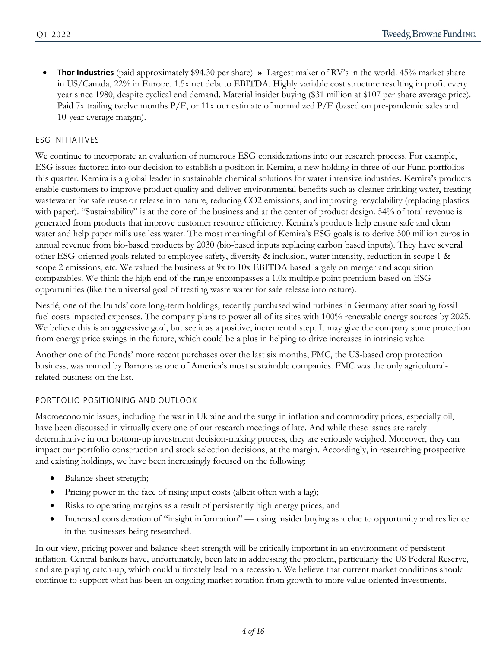**Thor Industries** (paid approximately \$94.30 per share) **»** Largest maker of RV's in the world. 45% market share in US/Canada, 22% in Europe. 1.5x net debt to EBITDA. Highly variable cost structure resulting in profit every year since 1980, despite cyclical end demand. Material insider buying (\$31 million at \$107 per share average price). Paid 7x trailing twelve months P/E, or 11x our estimate of normalized P/E (based on pre-pandemic sales and 10-year average margin).

### ESG INITIATIVES

We continue to incorporate an evaluation of numerous ESG considerations into our research process. For example, ESG issues factored into our decision to establish a position in Kemira, a new holding in three of our Fund portfolios this quarter. Kemira is a global leader in sustainable chemical solutions for water intensive industries. Kemira's products enable customers to improve product quality and deliver environmental benefits such as cleaner drinking water, treating wastewater for safe reuse or release into nature, reducing CO2 emissions, and improving recyclability (replacing plastics with paper). "Sustainability" is at the core of the business and at the center of product design. 54% of total revenue is generated from products that improve customer resource efficiency. Kemira's products help ensure safe and clean water and help paper mills use less water. The most meaningful of Kemira's ESG goals is to derive 500 million euros in annual revenue from bio-based products by 2030 (bio-based inputs replacing carbon based inputs). They have several other ESG-oriented goals related to employee safety, diversity & inclusion, water intensity, reduction in scope 1 & scope 2 emissions, etc. We valued the business at 9x to 10x EBITDA based largely on merger and acquisition comparables. We think the high end of the range encompasses a 1.0x multiple point premium based on ESG opportunities (like the universal goal of treating waste water for safe release into nature).

Nestlé, one of the Funds' core long-term holdings, recently purchased wind turbines in Germany after soaring fossil fuel costs impacted expenses. The company plans to power all of its sites with 100% renewable energy sources by 2025. We believe this is an aggressive goal, but see it as a positive, incremental step. It may give the company some protection from energy price swings in the future, which could be a plus in helping to drive increases in intrinsic value.

Another one of the Funds' more recent purchases over the last six months, FMC, the US-based crop protection business, was named by Barrons as one of America's most sustainable companies. FMC was the only agriculturalrelated business on the list.

### PORTFOLIO POSITIONING AND OUTLOOK

Macroeconomic issues, including the war in Ukraine and the surge in inflation and commodity prices, especially oil, have been discussed in virtually every one of our research meetings of late. And while these issues are rarely determinative in our bottom-up investment decision-making process, they are seriously weighed. Moreover, they can impact our portfolio construction and stock selection decisions, at the margin. Accordingly, in researching prospective and existing holdings, we have been increasingly focused on the following:

- Balance sheet strength;
- Pricing power in the face of rising input costs (albeit often with a lag);
- Risks to operating margins as a result of persistently high energy prices; and
- Increased consideration of "insight information" using insider buying as a clue to opportunity and resilience in the businesses being researched.

In our view, pricing power and balance sheet strength will be critically important in an environment of persistent inflation. Central bankers have, unfortunately, been late in addressing the problem, particularly the US Federal Reserve, and are playing catch-up, which could ultimately lead to a recession. We believe that current market conditions should continue to support what has been an ongoing market rotation from growth to more value-oriented investments,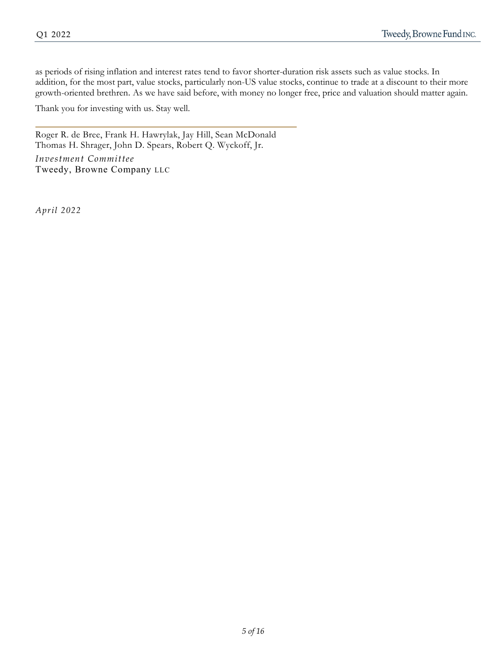as periods of rising inflation and interest rates tend to favor shorter-duration risk assets such as value stocks. In addition, for the most part, value stocks, particularly non-US value stocks, continue to trade at a discount to their more growth-oriented brethren. As we have said before, with money no longer free, price and valuation should matter again.

Thank you for investing with us. Stay well.

Roger R. de Bree, Frank H. Hawrylak, Jay Hill, Sean McDonald Thomas H. Shrager, John D. Spears, Robert Q. Wyckoff, Jr.

*Investment Committee* Tweedy, Browne Company LLC

*April 2022*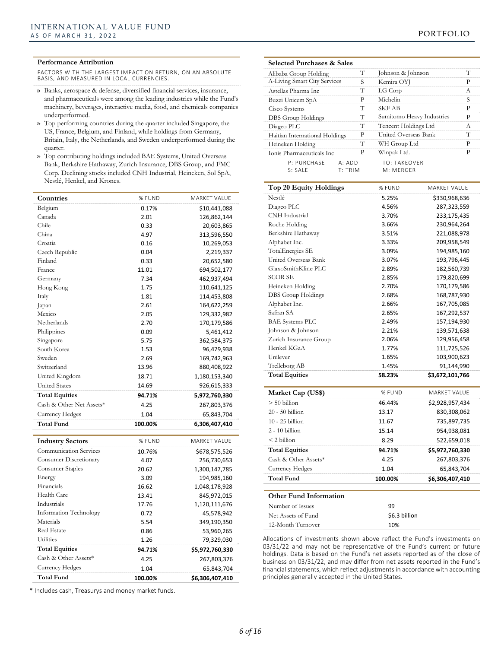#### **Performance Attribution**

FACTORS WITH THE LARGEST IMPACT ON RETURN, ON AN ABSOLUTE BASIS, AND MEASURED IN LOCAL CURRENCIES.

- » Banks, aerospace & defense, diversified financial services, insurance, and pharmaceuticals were among the leading industries while the Fund's machinery, beverages, interactive media, food, and chemicals companies underperformed.
- » Top performing countries during the quarter included Singapore, the US, France, Belgium, and Finland, while holdings from Germany, Britain, Italy, the Netherlands, and Sweden underperformed during the quarter.
- » Top contributing holdings included BAE Systems, United Overseas Bank, Berkshire Hathaway, Zurich Insurance, DBS Group, and FMC Corp. Declining stocks included CNH Industrial, Heineken, Sol SpA, Nestlé, Henkel, and Krones.

| Countries                     | % FUND  | MARKET VALUE        |
|-------------------------------|---------|---------------------|
| Belgium                       | 0.17%   | \$10,441,088        |
| Canada                        | 2.01    | 126,862,144         |
| Chile                         | 0.33    | 20,603,865          |
| China                         | 4.97    | 313,596,550         |
| Croatia                       | 0.16    | 10,269,053          |
| Czech Republic                | 0.04    | 2,219,337           |
| Finland                       | 0.33    | 20,652,580          |
| France                        | 11.01   | 694,502,177         |
| Germany                       | 7.34    | 462,937,494         |
| Hong Kong                     | 1.75    | 110,641,125         |
| Italy                         | 1.81    | 114,453,808         |
| Japan                         | 2.61    | 164,622,259         |
| Mexico                        | 2.05    | 129,332,982         |
| Netherlands                   | 2.70    | 170,179,586         |
| Philippines                   | 0.09    | 5,461,412           |
| Singapore                     | 5.75    | 362,584,375         |
| South Korea                   | 1.53    | 96,479,938          |
| Sweden                        | 2.69    | 169,742,963         |
| Switzerland                   | 13.96   | 880,408,922         |
| United Kingdom                | 18.71   | 1,180,153,340       |
| <b>United States</b>          | 14.69   | 926,615,333         |
| <b>Total Equities</b>         | 94.71%  | 5,972,760,330       |
| Cash & Other Net Assets*      | 4.25    | 267,803,376         |
| Currency Hedges               | 1.04    | 65,843,704          |
| <b>Total Fund</b>             | 100.00% | 6,306,407,410       |
|                               |         |                     |
| <b>Industry Sectors</b>       | % FUND  | <b>MARKET VALUE</b> |
| <b>Communication Services</b> | 10.76%  | \$678,575,526       |
| Consumer Discretionary        | 4.07    | 256,730,653         |
| Consumer Staples              | 20.62   | 1,300,147,785       |
| Energy                        | 3.09    | 194,985,160         |
| Financials                    | 16.62   | 1,048,178,928       |
| Health Care                   | 13.41   | 845,972,015         |
| Industrials                   | 17.76   | 1,120,111,676       |
| <b>Information Technology</b> | 0.72    | 45,578,942          |
| Materials                     | 5.54    | 349,190,350         |
| <b>Real Estate</b>            | 0.86    | 53,960,265          |
| Utilities                     | 1.26    | 79,329,030          |
| <b>Total Equities</b>         | 94.71%  | \$5,972,760,330     |
| Cash & Other Assets*          | 4.25    | 267,803,376         |
| Currency Hedges               | 1.04    | 65,843,704          |
|                               |         |                     |

\* Includes cash, Treasurys and money market funds.

## **Selected Purchases & Sales**

| Alibaba Group Holding          | Т       | Johnson & Johnson         | Т |
|--------------------------------|---------|---------------------------|---|
| A-Living Smart City Services   | S       | Kemira OYJ                | P |
| Astellas Pharma Inc.           | т       | LG Corp                   | A |
| Buzzi Unicem SpA               | Р       | Michelin                  | S |
| Cisco Systems                  | т       | <b>SKF AB</b>             | р |
| DBS Group Holdings             | т       | Sumitomo Heavy Industries | P |
| Diageo PLC                     | Т       | Tencent Holdings Ltd      | A |
| Haitian International Holdings | P       | United Overseas Bank      | T |
| Heineken Holding               | т       | WH Group Ltd              | р |
| Ionis Pharmaceuticals Inc      | P       | Winpak Ltd.               | р |
| P: PURCHASF                    | A: ADD  | <b>TO: TAKFOVER</b>       |   |
| S: SAIF                        | T: TRIM | M: MFRGFR                 |   |

| Top 20 Equity Holdings        | % FUND        | <b>MARKET VALUE</b> |
|-------------------------------|---------------|---------------------|
| Nestlé                        | 5.25%         | \$330,968,636       |
| Diageo PLC                    | 4.56%         | 287,323,559         |
| <b>CNH</b> Industrial         | 3.70%         | 233,175,435         |
| Roche Holding                 | 3.66%         | 230,964,264         |
| Berkshire Hathaway            | 3.51%         | 221,088,978         |
| Alphabet Inc.                 | 3.33%         | 209,958,549         |
| <b>TotalEnergies SE</b>       | 3.09%         | 194,985,160         |
| United Overseas Bank          | 3.07%         | 193,796,445         |
| GlaxoSmithKline PLC           | 2.89%         | 182,560,739         |
| <b>SCOR SE</b>                | 2.85%         | 179,820,699         |
| Heineken Holding              | 2.70%         | 170,179,586         |
| DBS Group Holdings            | 2.68%         | 168,787,930         |
| Alphabet Inc.                 | 2.66%         | 167,705,085         |
| Safran SA                     | 2.65%         | 167,292,537         |
| <b>BAE</b> Systems PLC        | 2.49%         | 157,194,930         |
| Johnson & Johnson             | 2.21%         | 139,571,638         |
| Zurich Insurance Group        | 2.06%         | 129,956,458         |
| Henkel KGaA                   | 1.77%         | 111,725,526         |
| Unilever                      | 1.65%         | 103,900,623         |
| Trelleborg AB                 | 1.45%         | 91,144,990          |
| <b>Total Equities</b>         | 58.23%        | \$3,672,101,766     |
| Market Cap (US\$)             | % FUND        | <b>MARKET VALUE</b> |
| $> 50$ billion                | 46.44%        | \$2,928,957,434     |
| $20 - 50$ billion             | 13.17         | 830,308,062         |
| $10 - 25$ billion             |               |                     |
|                               | 11.67         | 735,897,735         |
| $2 - 10$ billion              | 15.14         | 954,938,081         |
| $<$ 2 billion                 | 8.29          | 522,659,018         |
| <b>Total Equities</b>         | 94.71%        | \$5,972,760,330     |
| Cash & Other Assets*          | 4.25          | 267,803,376         |
| Currency Hedges               | 1.04          | 65,843,704          |
| <b>Total Fund</b>             | 100.00%       | \$6,306,407,410     |
| <b>Other Fund Information</b> |               |                     |
| Number of Issues              | 99            |                     |
| Net Assets of Fund            | \$6.3 billion |                     |
| 12-Month Turnover             | 10%           |                     |

Allocations of investments shown above reflect the Fund's investments on 03/31/22 and may not be representative of the Fund's current or future holdings. Data is based on the Fund's net assets reported as of the close of business on 03/31/22, and may differ from net assets reported in the Fund's financial statements, which reflect adjustments in accordance with accounting principles generally accepted in the United States.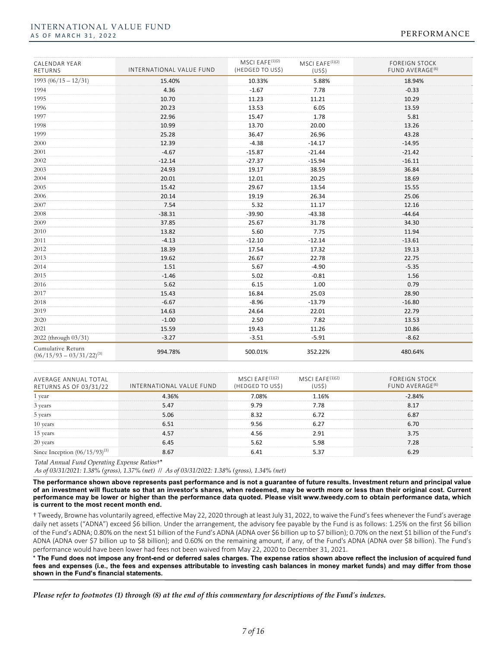#### INTERNATIONAL VALUE FUND AS OF MARCH 31, 2022 2008 and the set of the set of the set of the set of the set of the PERFORMANCE

| CALENDAR YEAR<br>RETURNS                           | INTERNATIONAL VALUE FUND | MSCI EAFE <sup>(1)(2)</sup><br>(HEDGED TO US\$) | MSCI EAFE $(1)(2)$<br>(US <sub>5</sub> ) | <b>FOREIGN STOCK</b><br>FUND AVERAGE <sup>(6)</sup> |
|----------------------------------------------------|--------------------------|-------------------------------------------------|------------------------------------------|-----------------------------------------------------|
| $1993(06/15-12/31)$                                | 15.40%                   | 10.33%                                          | 5.88%                                    | 18.94%                                              |
| 1994                                               | 4.36                     | $-1.67$                                         | 7.78                                     | $-0.33$                                             |
| 1995                                               | 10.70                    | 11.23                                           | 11.21                                    | 10.29                                               |
| 1996                                               | 20.23                    | 13.53                                           | 6.05                                     | 13.59                                               |
| 1997                                               | 22.96                    | 15.47                                           | 1.78                                     | 5.81                                                |
| 1998                                               | 10.99                    | 13.70                                           | 20.00                                    | 13.26                                               |
| 1999                                               | 25.28                    | 36.47                                           | 26.96                                    | 43.28                                               |
| 2000                                               | 12.39                    | $-4.38$                                         | $-14.17$                                 | $-14.95$                                            |
| 2001                                               | $-4.67$                  | $-15.87$                                        | $-21.44$                                 | $-21.42$                                            |
| 2002                                               | $-12.14$                 | $-27.37$                                        | $-15.94$                                 | $-16.11$                                            |
| 2003                                               | 24.93                    | 19.17                                           | 38.59                                    | 36.84                                               |
| 2004                                               | 20.01                    | 12.01                                           | 20.25                                    | 18.69                                               |
| 2005                                               | 15.42                    | 29.67                                           | 13.54                                    | 15.55                                               |
| 2006                                               | 20.14                    | 19.19                                           | 26.34                                    | 25.06                                               |
| 2007                                               | 7.54                     | 5.32                                            | 11.17                                    | 12.16                                               |
| 2008                                               | $-38.31$                 | $-39.90$                                        | $-43.38$                                 | $-44.64$                                            |
| 2009                                               | 37.85                    | 25.67                                           | 31.78                                    | 34.30                                               |
| 2010                                               | 13.82                    | 5.60                                            | 7.75                                     | 11.94                                               |
| 2011                                               | $-4.13$                  | $-12.10$                                        | $-12.14$                                 | $-13.61$                                            |
| 2012                                               | 18.39                    | 17.54                                           | 17.32                                    | 19.13                                               |
| 2013                                               | 19.62                    | 26.67                                           | 22.78                                    | 22.75                                               |
| 2014                                               | 1.51                     | 5.67                                            | $-4.90$                                  | $-5.35$                                             |
| 2015                                               | $-1.46$                  | 5.02                                            | $-0.81$                                  | 1.56                                                |
| 2016                                               | 5.62                     | 6.15                                            | 1.00                                     | 0.79                                                |
| 2017                                               | 15.43                    | 16.84                                           | 25.03                                    | 28.90                                               |
| 2018                                               | $-6.67$                  | $-8.96$                                         | $-13.79$                                 | $-16.80$                                            |
| 2019                                               | 14.63                    | 24.64                                           | 22.01                                    | 22.79                                               |
| 2020                                               | $-1.00$                  | 2.50                                            | 7.82                                     | 13.53                                               |
| 2021                                               | 15.59                    | 19.43                                           | 11.26                                    | 10.86                                               |
| 2022 (through 03/31)                               | $-3.27$                  | $-3.51$                                         | $-5.91$                                  | $-8.62$                                             |
| Cumulative Return<br>$(06/15/93 - 03/31/22)^{(3)}$ | 994.78%                  | 500.01%                                         | 352.22%                                  | 480.64%                                             |

| AVERAGE ANNUAL TOTAL<br>RETURNS AS OF 03/31/22 | INTERNATIONAL VALUE FUND | MSCI EAFE $^{(1)(2)}$<br>(HEDGED TO US\$) | MSCI EAFE $(1)(2)$ | <b>FOREIGN STOCK</b><br>FUND AVERAGE <sup>(6)</sup> |
|------------------------------------------------|--------------------------|-------------------------------------------|--------------------|-----------------------------------------------------|
| vear                                           | 4.36%                    | ' በጸ%                                     | 16%                | 84%                                                 |
| 3 years                                        |                          |                                           | 7.78               |                                                     |
| 5 years                                        | 5.06                     |                                           |                    | 6.87                                                |
| 10 years                                       |                          | 9.56                                      |                    | 6.70                                                |
| 15 years                                       |                          |                                           |                    |                                                     |
| 20 years                                       |                          |                                           | ; ዓՋ               |                                                     |
| ince Inception $(06/15/93)^{12}$               |                          |                                           |                    |                                                     |

*Total Annual Fund Operating Expense Ratios*†\*

*As of 03/31/2021: 1.38% (gross), 1.37% (net) // As of 03/31/2022: 1.38% (gross), 1.34% (net)*

**The performance shown above represents past performance and is not a guarantee of future results. Investment return and principal value of an investment will fluctuate so that an investor's shares, when redeemed, may be worth more or less than their original cost. Current performance may be lower or higher than the performance data quoted. Please visit www.tweedy.com to obtain performance data, which is current to the most recent month end.** 

† Tweedy, Browne has voluntarily agreed, effective May 22, 2020 through at least July 31, 2022, to waive the Fund'sfees whenever the Fund's average daily net assets ("ADNA") exceed \$6 billion. Under the arrangement, the advisory fee payable by the Fund is as follows: 1.25% on the first \$6 billion of the Fund's ADNA; 0.80% on the next \$1 billion of the Fund's ADNA (ADNA over \$6 billion up to \$7 billion); 0.70% on the next \$1 billion of the Fund's ADNA (ADNA over \$7 billion up to \$8 billion); and 0.60% on the remaining amount, if any, of the Fund's ADNA (ADNA over \$8 billion). The Fund's performance would have been lower had fees not been waived from May 22, 2020 to December 31, 2021.

\* **The Fund does not impose any front-end or deferred sales charges. The expense ratios shown above reflect the inclusion of acquired fund fees and expenses (i.e., the fees and expenses attributable to investing cash balances in money market funds) and may differ from those shown in the Fund's financial statements.**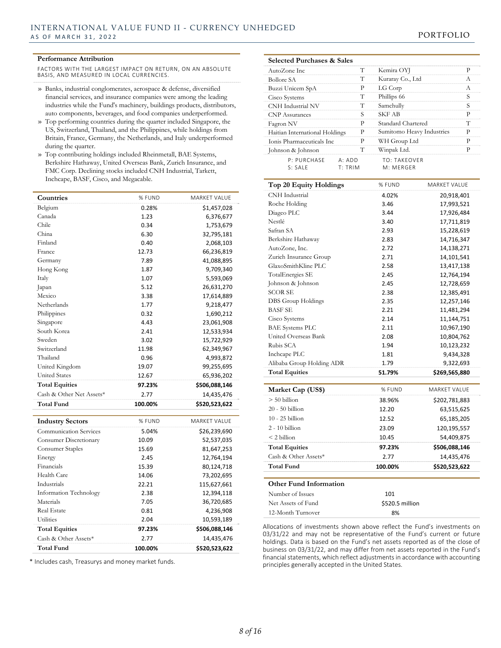#### **Performance Attribution**

FACTORS WITH THE LARGEST IMPACT ON RETURN, ON AN ABSOLUTE BASIS, AND MEASURED IN LOCAL CURRENCIES.

- » Banks, industrial conglomerates, aerospace & defense, diversified financial services, and insurance companies were among the leading industries while the Fund's machinery, buildings products, distributors, auto components, beverages, and food companies underperformed.
- » Top performing countries during the quarter included Singapore, the US, Switzerland, Thailand, and the Philippines, while holdings from Britain, France, Germany, the Netherlands, and Italy underperformed during the quarter.
- » Top contributing holdings included Rheinmetall, BAE Systems, Berkshire Hathaway, United Overseas Bank, Zurich Insurance, and FMC Corp. Declining stocks included CNH Industrial, Tarkett, Inchcape, BASF, Cisco, and Megacable.

| Countries                     | % FUND  | MARKET VALUE        |
|-------------------------------|---------|---------------------|
| Belgium                       | 0.28%   | \$1,457,028         |
| Canada                        | 1.23    | 6,376,677           |
| Chile                         | 0.34    | 1,753,679           |
| China                         | 6.30    | 32,795,181          |
| Finland                       | 0.40    | 2,068,103           |
| France                        | 12.73   | 66,236,819          |
| Germany                       | 7.89    | 41,088,895          |
| Hong Kong                     | 1.87    | 9,709,340           |
| Italy                         | 1.07    | 5,593,069           |
| Japan                         | 5.12    | 26,631,270          |
| Mexico                        | 3.38    | 17,614,889          |
| Netherlands                   | 1.77    | 9,218,477           |
| Philippines                   | 0.32    | 1,690,212           |
| Singapore                     | 4.43    | 23,061,908          |
| South Korea                   | 2.41    | 12,533,934          |
| Sweden                        | 3.02    | 15,722,929          |
| Switzerland                   | 11.98   | 62,349,967          |
| Thailand                      | 0.96    | 4,993,872           |
| United Kingdom                | 19.07   | 99,255,695          |
| <b>United States</b>          | 12.67   | 65,936,202          |
| <b>Total Equities</b>         | 97.23%  | \$506,088,146       |
| Cash & Other Net Assets*      | 2.77    | 14,435,476          |
| <b>Total Fund</b>             | 100.00% | \$520,523,622       |
|                               |         |                     |
| <b>Industry Sectors</b>       | % FUND  | <b>MARKET VALUE</b> |
| <b>Communication Services</b> | 5.04%   | \$26,239,690        |
| Consumer Discretionary        | 10.09   | 52,537,035          |
| Consumer Staples              | 15.69   | 81,647,253          |
| Energy                        | 2.45    | 12,764,194          |
| Financials                    | 15.39   | 80,124,718          |
| Health Care                   | 14.06   | 73,202,695          |
| Industrials                   | 22.21   | 115,627,661         |
| <b>Information Technology</b> | 2.38    | 12,394,118          |
| Materials                     | 7.05    | 36,720,685          |
| <b>Real Estate</b>            | 0.81    | 4,236,908           |
| Utilities                     | 2.04    | 10,593,189          |
| <b>Total Equities</b>         | 97.23%  | \$506,088,146       |
| Cash & Other Assets*          | 2.77    | 14,435,476          |
|                               |         |                     |

\* Includes cash, Treasurys and money market funds.

#### **Selected Purchases & Sales**

| AutoZone Inc.                  | T                 | Kemira OYJ                |   |
|--------------------------------|-------------------|---------------------------|---|
| Bollore SA                     | т                 | Kuraray Co., Ltd          | A |
| Buzzi Unicem SpA               | Р                 | LG Corp                   | A |
| Cisco Systems                  | Т                 | Phillips 66               | S |
| CNH Industrial NV              | т                 | Samchully                 | S |
| <b>CNP</b> Assurances          | S                 | <b>SKF AB</b>             | P |
| Fagron NV                      | Р                 | Standard Chartered        | т |
| Haitian International Holdings | P                 | Sumitomo Heavy Industries | P |
| Ionis Pharmaceuticals Inc      | P                 | WH Group Ltd              | P |
| Johnson & Johnson              | т                 | Winpak Ltd.               | D |
| P: PURCHASF<br>S: SAIF         | A: ADD<br>T: TRIM | TO: TAKEOVFR<br>M: MFRGFR |   |

| Top 20 Equity Holdings        | % FUND  | <b>MARKET VALUE</b> |
|-------------------------------|---------|---------------------|
| CNH Industrial                | 4.02%   | 20,918,401          |
| Roche Holding                 | 3.46    | 17,993,521          |
| Diageo PLC                    | 3.44    | 17,926,484          |
| Nestlé                        | 3.40    | 17,711,819          |
| Safran SA                     | 2.93    | 15,228,619          |
| Berkshire Hathaway            | 2.83    | 14,716,347          |
| AutoZone, Inc.                | 2.72    | 14,138,271          |
| Zurich Insurance Group        | 2.71    | 14,101,541          |
| GlaxoSmithKline PLC           | 2.58    | 13,417,138          |
| TotalEnergies SE              | 2.45    | 12,764,194          |
| Johnson & Johnson             | 2.45    | 12,728,659          |
| <b>SCOR SE</b>                | 2.38    | 12,385,491          |
| DBS Group Holdings            | 2.35    | 12,257,146          |
| <b>BASF SE</b>                | 2.21    | 11,481,294          |
| Cisco Systems                 | 2.14    | 11,144,751          |
| <b>BAE Systems PLC</b>        | 2.11    | 10,967,190          |
| United Overseas Bank          | 2.08    | 10,804,762          |
| Rubis SCA                     | 1.94    | 10,123,232          |
| Inchcape PLC                  | 1.81    | 9,434,328           |
| Alibaba Group Holding ADR     | 1.79    | 9,322,693           |
| <b>Total Equities</b>         | 51.79%  | \$269,565,880       |
| Market Cap (US\$)             | % FUND  | MARKET VALUE        |
| $> 50$ billion                | 38.96%  | \$202,781,883       |
| $20 - 50$ billion             | 12.20   | 63,515,625          |
| $10 - 25$ billion             | 12.52   | 65,185,205          |
| $2 - 10$ billion              | 23.09   | 120,195,557         |
| $<$ 2 billion                 | 10.45   | 54,409,875          |
| <b>Total Equities</b>         | 97.23%  | \$506,088,146       |
| Cash & Other Assets*          | 2.77    | 14,435,476          |
| <b>Total Fund</b>             | 100.00% | \$520,523,622       |
|                               |         |                     |
| <b>Other Fund Information</b> |         |                     |
| Number of Issues              | 101     |                     |

Allocations of investments shown above reflect the Fund's investments on 03/31/22 and may not be representative of the Fund's current or future holdings. Data is based on the Fund's net assets reported as of the close of business on 03/31/22, and may differ from net assets reported in the Fund's financial statements, which reflect adjustments in accordance with accounting principles generally accepted in the United States.

Net Assets of Fund \$520.5 million 12-Month Turnover 8%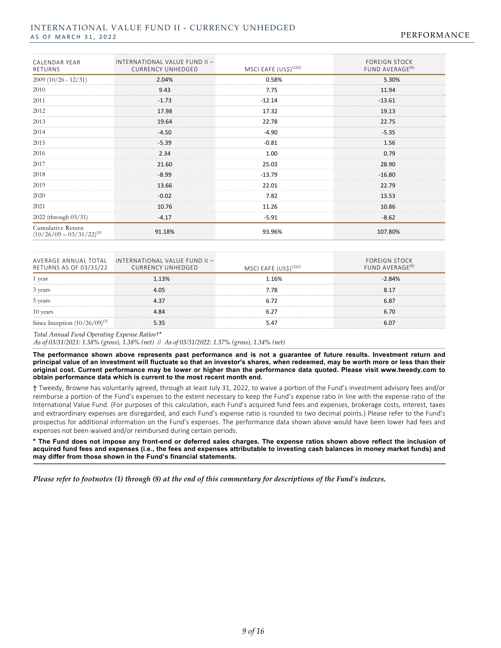#### INTERNATIONAL VALUE FUND II - CURRENCY UNHEDGED AS OF MARCH 31, 2022 PERFORMANCE

| CALENDAR YEAR<br>RETURNS                           | INTERNATIONAL VALUE FUND II -<br><b>CURRENCY UNHEDGED</b> | MSCI EAFE $(US\$ )^{(1)(2)} | <b>FOREIGN STOCK</b><br>FUND AVERAGE <sup>(6)</sup> |
|----------------------------------------------------|-----------------------------------------------------------|-----------------------------|-----------------------------------------------------|
| $2009(10/26 - 12/31)$                              | 2.04%                                                     | 0.58%                       | 5.30%                                               |
| 2010                                               | 9.43                                                      | 7.75                        | 11.94                                               |
| 2011                                               | $-1.73$                                                   | $-12.14$                    | $-13.61$                                            |
| 2012                                               | 17.98                                                     | 17.32                       | 19.13                                               |
| 2013                                               | 19.64                                                     | 22.78                       | 22.75                                               |
| 2014                                               | $-4.50$                                                   | $-4.90$                     | $-5.35$                                             |
| 2015                                               | $-5.39$                                                   | $-0.81$                     | 1.56                                                |
| 2016                                               | 2.34                                                      | 1.00                        | 0.79                                                |
| 2017                                               | 21.60                                                     | 25.03                       | 28.90                                               |
| 2018                                               | $-8.99$                                                   | $-13.79$                    | $-16.80$                                            |
| 2019                                               | 13.66                                                     | 22.01                       | 22.79                                               |
| 2020                                               | $-0.02$                                                   | 7.82                        | 13.53                                               |
| 2021                                               | 10.76                                                     | 11.26                       | 10.86                                               |
| 2022 (through 03/31)                               | $-4.17$                                                   | $-5.91$                     | $-8.62$                                             |
| Cumulative Return<br>$(10/26/09 - 03/31/22)^{(3)}$ | 91.18%                                                    | 93.96%                      | 107.80%                                             |

| RETURNS AS OF 03/31/22       | AVERAGE ANNUAL TOTAL INTERNATIONAL VALUE FUND II -<br><b>CURRENCY UNHEDGED</b> | MSCI EAFE $(USS)^{(1)(2)}$ | <b>FOREIGN STOCK</b><br>FUND AVERAGE <sup>(6)</sup> |
|------------------------------|--------------------------------------------------------------------------------|----------------------------|-----------------------------------------------------|
|                              | 1 13%                                                                          | 1 16%                      | $-2.84%$                                            |
| 3 years                      |                                                                                |                            |                                                     |
| 5 years                      |                                                                                |                            |                                                     |
| 10 years                     |                                                                                |                            |                                                     |
| Since Inception $(10/26/09)$ |                                                                                |                            |                                                     |

#### *Total Annual Fund Operating Expense Ratios*†\*

*As of 03/31/2021: 1.38% (gross), 1.38% (net) // As of 03/31/2022: 1.37% (gross), 1.34% (net)*

**The performance shown above represents past performance and is not a guarantee of future results. Investment return and principal value of an investment will fluctuate so that an investor's shares, when redeemed, may be worth more or less than their original cost. Current performance may be lower or higher than the performance data quoted. Please visit www.tweedy.com to obtain performance data which is current to the most recent month end.** 

† Tweedy, Browne has voluntarily agreed, through at least July 31, 2022, to waive a portion of the Fund's investment advisory fees and/or reimburse a portion of the Fund's expenses to the extent necessary to keep the Fund's expense ratio in line with the expense ratio of the International Value Fund. (For purposes of this calculation, each Fund's acquired fund fees and expenses, brokerage costs, interest, taxes and extraordinary expenses are disregarded, and each Fund's expense ratio is rounded to two decimal points.) Please refer to the Fund's prospectus for additional information on the Fund's expenses. The performance data shown above would have been lower had fees and expenses not been waived and/or reimbursed during certain periods.

**\* The Fund does not impose any front-end or deferred sales charges. The expense ratios shown above reflect the inclusion of acquired fund fees and expenses (i.e., the fees and expenses attributable to investing cash balances in money market funds) and may differ from those shown in the Fund's financial statements.**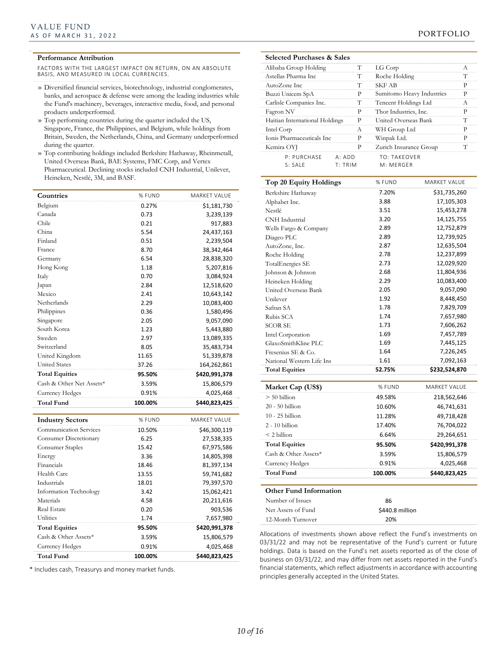*12*

#### **Performance Attribution**

FACTORS WITH THE LARGEST IMPACT ON RETURN, ON AN ABSOLUTE BASIS, AND MEASURED IN LOCAL CURRENCIES.

- » Diversified financial services, biotechnology, industrial conglomerates, banks, and aerospace & defense were among the leading industries while the Fund's machinery, beverages, interactive media, food, and personal products underperformed.
- » Top performing countries during the quarter included the US, Singapore, France, the Philippines, and Belgium, while holdings from Britain, Sweden, the Netherlands, China, and Germany underperformed during the quarter.
- » Top contributing holdings included Berkshire Hathaway, Rheinmetall, United Overseas Bank, BAE Systems, FMC Corp, and Vertex Pharmaceutical. Declining stocks included CNH Industrial, Unilever, Heineken, Nestlé, 3M, and BASF.

| Countries                     | % FUND  | MARKET VALUE        |
|-------------------------------|---------|---------------------|
| Belgium                       | 0.27%   | \$1,181,730         |
| Canada                        | 0.73    | 3,239,139           |
| Chile                         | 0.21    | 917,883             |
| China                         | 5.54    | 24,437,163          |
| Finland                       | 0.51    | 2,239,504           |
| France                        | 8.70    | 38,342,464          |
| Germany                       | 6.54    | 28,838,320          |
| Hong Kong                     | 1.18    | 5,207,816           |
| Italy                         | 0.70    | 3,084,924           |
| Japan                         | 2.84    | 12,518,620          |
| Mexico                        | 2.41    | 10,643,142          |
| Netherlands                   | 2.29    | 10,083,400          |
| Philippines                   | 0.36    | 1,580,496           |
| Singapore                     | 2.05    | 9,057,090           |
| South Korea                   | 1.23    | 5,443,880           |
| Sweden                        | 2.97    | 13,089,335          |
| Switzerland                   | 8.05    | 35,483,734          |
| United Kingdom                | 11.65   | 51,339,878          |
| <b>United States</b>          | 37.26   | 164,262,861         |
| <b>Total Equities</b>         | 95.50%  | \$420,991,378       |
| Cash & Other Net Assets*      | 3.59%   | 15,806,579          |
| <b>Currency Hedges</b>        | 0.91%   | 4,025,468           |
| <b>Total Fund</b>             | 100.00% | \$440,823,425       |
| <b>Industry Sectors</b>       | % FUND  | <b>MARKET VALUE</b> |
| <b>Communication Services</b> | 10.50%  | \$46,300,119        |
| Consumer Discretionary        | 6.25    | 27,538,335          |
| Consumer Staples              | 15.42   | 67,975,586          |
| Energy                        | 3.36    | 14,805,398          |
| Financials                    | 18.46   | 81,397,134          |
| Health Care                   | 13.55   | 59,741,682          |
| Industrials                   | 18.01   | 79,397,570          |
| Information Technology        | 3.42    | 15,062,421          |
| Materials                     | 4.58    | 20,211,616          |
| <b>Real Estate</b>            | 0.20    | 903,536             |
| Utilities                     | 1.74    | 7,657,980           |
| <b>Total Equities</b>         | 95.50%  | \$420,991,378       |
| Cash & Other Assets*          | 3.59%   | 15,806,579          |
| <b>Currency Hedges</b>        | 0.91%   | 4,025,468           |
| <b>Total Fund</b>             | 100.00% | \$440,823,425       |

\* Includes cash, Treasurys and money market funds.

| <b>Selected Purchases &amp; Sales</b> |         |   |                           |   |
|---------------------------------------|---------|---|---------------------------|---|
| Alibaba Group Holding                 |         | т | LG Corp                   | A |
| Astellas Pharma Inc.                  |         | т | Roche Holding             | Т |
| AutoZone Inc.                         |         | т | <b>SKF AB</b>             | P |
| Buzzi Unicem SpA                      |         | Р | Sumitomo Heavy Industries | P |
| Carlisle Companies Inc.               |         | т | Tencent Holdings Ltd      | A |
| Fagron NV                             |         | P | Thor Industries, Inc.     | P |
| Haitian International Holdings        |         | P | United Overseas Bank      | T |
| Intel Corp                            |         | A | WH Group Ltd              | P |
| Ionis Pharmaceuticals Inc             |         | Р | Winpak Ltd.               | P |
| Kemira OYJ                            |         | P | Zurich Insurance Group    | T |
| P: PURCHASE                           | A: ADD  |   | <b>TO: TAKFOVER</b>       |   |
| S: SAIF                               | T: TRIM |   | M: MFRGFR                 |   |

| Top 20 Equity Holdings        | % FUND          | MARKET VALUE        |
|-------------------------------|-----------------|---------------------|
| Berkshire Hathaway            | 7.20%           | \$31,735,260        |
| Alphabet Inc.                 | 3.88            | 17,105,303          |
| Nestlé                        | 3.51            | 15,453,278          |
| CNH Industrial                | 3.20            | 14,125,755          |
| Wells Fargo & Company         | 2.89            | 12,752,879          |
| Diageo PLC                    | 2.89            | 12,739,925          |
| AutoZone, Inc.                | 2.87            | 12,635,504          |
| Roche Holding                 | 2.78            | 12,237,899          |
| TotalEnergies SE              | 2.73            | 12,029,920          |
| Johnson & Johnson             | 2.68            | 11,804,936          |
| Heineken Holding              | 2.29            | 10,083,400          |
| United Overseas Bank          | 2.05            | 9,057,090           |
| Unilever                      | 1.92            | 8,448,450           |
| Safran SA                     | 1.78            | 7,829,709           |
| Rubis SCA                     | 1.74            | 7,657,980           |
| SCOR SE                       | 1.73            | 7,606,262           |
| Intel Corporation             | 1.69            | 7,457,789           |
| GlaxoSmithKline PLC           | 1.69            | 7,445,125           |
| Fresenius SE & Co.            | 1.64            | 7,226,245           |
| National Western Life Ins     | 1.61            | 7,092,163           |
| <b>Total Equities</b>         | 52.75%          | \$232,524,870       |
| Market Cap (US\$)             | % FUND          | <b>MARKET VALUE</b> |
| $> 50$ billion                | 49.58%          | 218,562,646         |
| 20 - 50 billion               | 10.60%          | 46,741,631          |
| $10 - 25$ billion             | 11.28%          | 49,718,428          |
| $2 - 10$ billion              | 17.40%          | 76,704,022          |
| $<$ 2 billion                 | 6.64%           | 29,264,651          |
| <b>Total Equities</b>         | 95.50%          | \$420,991,378       |
| Cash & Other Assets*          | 3.59%           | 15,806,579          |
| <b>Currency Hedges</b>        | 0.91%           | 4,025,468           |
| <b>Total Fund</b>             | 100.00%         | \$440,823,425       |
| <b>Other Fund Information</b> |                 |                     |
| Number of Issues              | 86              |                     |
| Net Assets of Fund            | \$440.8 million |                     |
| 12-Month Turnover             | 20%             |                     |

Allocations of investments shown above reflect the Fund's investments on 03/31/22 and may not be representative of the Fund's current or future holdings. Data is based on the Fund's net assets reported as of the close of business on 03/31/22, and may differ from net assets reported in the Fund's financial statements, which reflect adjustments in accordance with accounting principles generally accepted in the United States.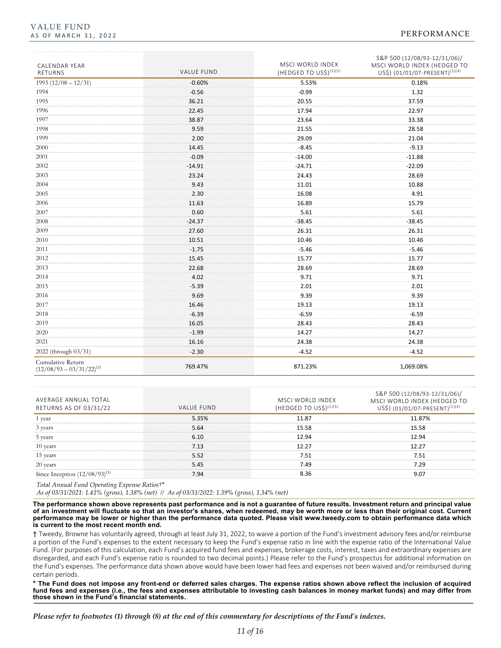| <b>CALENDAR YEAR</b><br>RETURNS                    | <b>VALUE FUND</b> | MSCI WORLD INDEX<br>(HEDGED TO US\$) $(1)(5)$ | S&P 500 (12/08/93-12/31/06)/<br>MSCI WORLD INDEX (HEDGED TO<br>US\$) (01/01/07-PRESENT) <sup>(1)(4)</sup> |
|----------------------------------------------------|-------------------|-----------------------------------------------|-----------------------------------------------------------------------------------------------------------|
| $1993(12/08 - 12/31)$                              | $-0.60%$          | 5.53%                                         | 0.18%                                                                                                     |
| 1994                                               | $-0.56$           | $-0.99$                                       | 1.32                                                                                                      |
| 1995                                               | 36.21             | 20.55                                         | 37.59                                                                                                     |
| 1996                                               | 22.45             | 17.94                                         | 22.97                                                                                                     |
| 1997                                               | 38.87             | 23.64                                         | 33.38                                                                                                     |
| 1998                                               | 9.59              | 21.55                                         | 28.58                                                                                                     |
| 1999                                               | 2.00              | 29.09                                         | 21.04                                                                                                     |
| 2000                                               | 14.45             | $-8.45$                                       | $-9.13$                                                                                                   |
| 2001                                               | $-0.09$           | $-14.00$                                      | $-11.88$                                                                                                  |
| 2002                                               | $-14.91$          | $-24.71$                                      | $-22.09$                                                                                                  |
| 2003                                               | 23.24             | 24.43                                         | 28.69                                                                                                     |
| 2004                                               | 9.43              | 11.01                                         | 10.88                                                                                                     |
| 2005                                               | 2.30              | 16.08                                         | 4.91                                                                                                      |
| 2006                                               | 11.63             | 16.89                                         | 15.79                                                                                                     |
| 2007                                               | 0.60              | 5.61                                          | 5.61                                                                                                      |
| 2008                                               | $-24.37$          | $-38.45$                                      | $-38.45$                                                                                                  |
| 2009                                               | 27.60             | 26.31                                         | 26.31                                                                                                     |
| 2010                                               | 10.51             | 10.46                                         | 10.46                                                                                                     |
| 2011                                               | $-1.75$           | $-5.46$                                       | $-5.46$                                                                                                   |
| 2012                                               | 15.45             | 15.77                                         | 15.77                                                                                                     |
| 2013                                               | 22.68             | 28.69                                         | 28.69                                                                                                     |
| 2014                                               | 4.02              | 9.71                                          | 9.71                                                                                                      |
| 2015                                               | $-5.39$           | 2.01                                          | 2.01                                                                                                      |
| 2016                                               | 9.69              | 9.39                                          | 9.39                                                                                                      |
| 2017                                               | 16.46             | 19.13                                         | 19.13                                                                                                     |
| 2018                                               | $-6.39$           | $-6.59$                                       | $-6.59$                                                                                                   |
| 2019                                               | 16.05             | 28.43                                         | 28.43                                                                                                     |
| 2020                                               | $-1.99$           | 14.27                                         | 14.27                                                                                                     |
| 2021                                               | 16.16             | 24.38                                         | 24.38                                                                                                     |
| 2022 (through 03/31)                               | $-2.30$           | $-4.52$                                       | $-4.52$                                                                                                   |
| Cumulative Return<br>$(12/08/93 - 03/31/22)^{(3)}$ | 769.47%           | 871.23%                                       | 1,069.08%                                                                                                 |

| AVERAGE ANNUAL TOTAL<br>RETURNS AS OF 03/31/22 | VALUE FUND | MSCI WORLD INDEX<br>(HEDGED TO US\$) <sup>(</sup> | S&P 500 (12/08/93-12/31/06),<br>MSCI WORLD INDEX (HEDGED TO<br>JS\$)(01/01/07-PRESENT) <sup>(1)(4</sup> |
|------------------------------------------------|------------|---------------------------------------------------|---------------------------------------------------------------------------------------------------------|
| vear                                           | 5.35%      | 11.87                                             | 11.87%                                                                                                  |
| 3 years                                        | 5.64       | 15.58                                             |                                                                                                         |
| 5 years                                        | 6 1በ       | 12.94                                             |                                                                                                         |
| 10 years                                       | 7.13       | 12.27                                             |                                                                                                         |
| 15 years                                       | 5.52       | ' 51                                              |                                                                                                         |
| 20 years                                       | 5.45       | 49                                                |                                                                                                         |
| Since Inception (1)                            | 7 Q.A      | ८ २६                                              |                                                                                                         |

*Total Annual Fund Operating Expense Ratios*†\*

*As of 03/31/2021: 1.41% (gross), 1.38% (net) // As of 03/31/2022: 1.39% (gross), 1.34% (net)*

**The performance shown above represents past performance and is not a guarantee of future results. Investment return and principal value of an investment will fluctuate so that an investor's shares, when redeemed, may be worth more or less than their original cost. Current performance may be lower or higher than the performance data quoted. Please visit www.tweedy.com to obtain performance data which is current to the most recent month end.** 

† Tweedy, Browne has voluntarily agreed, through at least July 31, 2022, to waive a portion of the Fund's investment advisory fees and/or reimburse a portion of the Fund's expenses to the extent necessary to keep the Fund's expense ratio in line with the expense ratio of the International Value Fund. (For purposes of this calculation, each Fund's acquired fund fees and expenses, brokerage costs, interest, taxes and extraordinary expenses are disregarded, and each Fund's expense ratio is rounded to two decimal points.) Please refer to the Fund's prospectus for additional information on the Fund's expenses. The performance data shown above would have been lower had fees and expenses not been waived and/or reimbursed during certain periods.

**\* The Fund does not impose any front-end or deferred sales charges. The expense ratios shown above reflect the inclusion of acquired fund fees and expenses (i.e., the fees and expenses attributable to investing cash balances in money market funds) and may differ from those shown in the Fund's financial statements.**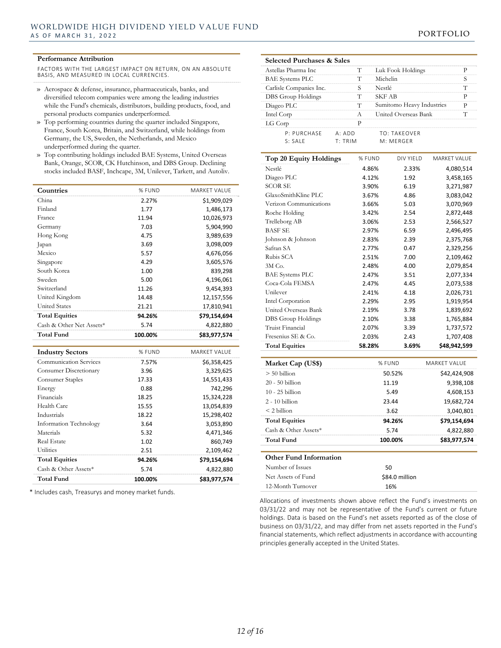#### **Performance Attribution**

FACTORS WITH THE LARGEST IMPACT ON RETURN, ON AN ABSOLUTE BASIS, AND MEASURED IN LOCAL CURRENCIES.

- » Aerospace & defense, insurance, pharmaceuticals, banks, and diversified telecom companies were among the leading industries while the Fund's chemicals, distributors, building products, food, and personal products companies underperformed.
- » Top performing countries during the quarter included Singapore, France, South Korea, Britain, and Switzerland, while holdings from Germany, the US, Sweden, the Netherlands, and Mexico underperformed during the quarter.
- » Top contributing holdings included BAE Systems, United Overseas Bank, Orange, SCOR, CK Hutchinson, and DBS Group. Declining stocks included BASF, Inchcape, 3M, Unilever, Tarkett, and Autoliv.

| Countries                     | % FUND  | MARKET VALUE        |
|-------------------------------|---------|---------------------|
| China                         | 2.27%   | \$1,909,029         |
| Finland                       | 1.77    | 1,486,173           |
| France                        | 11.94   | 10,026,973          |
| Germany                       | 7.03    | 5,904,990           |
| Hong Kong                     | 4.75    | 3,989,639           |
| Japan                         | 3.69    | 3,098,009           |
| Mexico                        | 5.57    | 4,676,056           |
| Singapore                     | 4.29    | 3,605,576           |
| South Korea                   | 1.00    | 839,298             |
| Sweden                        | 5.00    | 4,196,061           |
| Switzerland                   | 11.26   | 9,454,393           |
| United Kingdom                | 14.48   | 12,157,556          |
| <b>United States</b>          | 21.21   | 17,810,941          |
| <b>Total Equities</b>         | 94.26%  | \$79,154,694        |
| Cash & Other Net Assets*      | 5.74    | 4,822,880           |
| <b>Total Fund</b>             | 100.00% | \$83,977,574        |
|                               |         |                     |
| <b>Industry Sectors</b>       | % FUND  | <b>MARKET VALUE</b> |
| <b>Communication Services</b> | 7.57%   | \$6,358,425         |
| <b>Consumer Discretionary</b> | 3.96    | 3,329,625           |
| Consumer Staples              | 17.33   | 14,551,433          |
| Energy                        |         |                     |
|                               | 0.88    | 742,296             |
| Financials                    | 18.25   | 15,324,228          |
| Health Care                   | 15.55   | 13,054,839          |
| Industrials                   | 18.22   | 15,298,402          |
| <b>Information Technology</b> | 3.64    | 3,053,890           |
| Materials                     | 5.32    | 4,471,346           |
| <b>Real Estate</b>            | 1.02    | 860,749             |
| <b>Utilities</b>              | 2.51    | 2,109,462           |
| <b>Total Equities</b>         | 94.26%  | \$79,154,694        |
| Cash & Other Assets*          | 5.74    | 4,822,880           |

\* Includes cash, Treasurys and money market funds.

|            | <b>Selected Purchases &amp; Sales</b> |                    |                           |   |
|------------|---------------------------------------|--------------------|---------------------------|---|
|            | Astellas Pharma Inc.                  | т                  | Luk Fook Holdings         |   |
|            | <b>BAE Systems PLC</b>                | Т                  | Michelin                  |   |
|            | Carlisle Companies Inc.               |                    | Nestlé                    |   |
|            | DBS Group Holdings                    | т                  | SKF AB                    |   |
|            | Diageo PLC                            | т                  | Sumitomo Heavy Industries | D |
| Intel Corp |                                       | A                  | United Overseas Bank      |   |
| LG Corp    |                                       | р                  |                           |   |
|            | P: PURCHASF                           | $A \cdot A \cap D$ | <b>TO: TAKFOVER</b>       |   |
|            | S: SAIF                               | T: TRIM            | M: MFRGFR                 |   |
|            |                                       |                    |                           |   |

| Top 20 Equity Holdings | % FUND | DIV YIELD | MARKET VALUE |
|------------------------|--------|-----------|--------------|
| Nestlé                 | 4.86%  | 2.33%     | 4,080,514    |
| Diageo PLC             | 4.12%  | 1.92      | 3,458,165    |
| <b>SCOR SE</b>         | 3.90%  | 6.19      | 3,271,987    |
| GlaxoSmithKline PLC    | 3.67%  | 4.86      | 3,083,042    |
| Verizon Communications | 3.66%  | 5.03      | 3,070,969    |
| Roche Holding          | 3.42%  | 2.54      | 2,872,448    |
| Trelleborg AB          | 3.06%  | 2.53      | 2,566,527    |
| <b>BASF SE</b>         | 2.97%  | 6.59      | 2,496,495    |
| Johnson & Johnson      | 2.83%  | 2.39      | 2,375,768    |
| Safran SA              | 2.77%  | 0.47      | 2,329,256    |
| Rubis SCA              | 2.51%  | 7.00      | 2,109,462    |
| $3M$ Co.               | 2.48%  | 4.00      | 2,079,854    |
| <b>BAE</b> Systems PLC | 2.47%  | 3.51      | 2,077,334    |
| Coca-Cola FEMSA        | 2.47%  | 4.45      | 2,073,538    |
| Unilever               | 2.41%  | 4.18      | 2,026,731    |
| Intel Corporation      | 2.29%  | 2.95      | 1,919,954    |
| United Overseas Bank   | 2.19%  | 3.78      | 1,839,692    |
| DBS Group Holdings     | 2.10%  | 3.38      | 1,765,884    |
| Truist Financial       | 2.07%  | 3.39      | 1,737,572    |
| Fresenius SE & Co.     | 2.03%  | 2.43      | 1,707,408    |
| <b>Total Equities</b>  | 58.28% | 3.69%     | \$48,942,599 |

| Market Cap (US\$)             | % FUND         | MARKET VAI UF |
|-------------------------------|----------------|---------------|
| $> 50$ billion                | 50.52%         | \$42,424,908  |
| $20 - 50$ billion             | 11.19          | 9,398,108     |
| $10 - 25$ billion             | 5.49           | 4,608,153     |
| $2 - 10$ billion              | 23.44          | 19.682.724    |
| $<$ 2 billion                 | 3.62           | 3,040,801     |
| <b>Total Equities</b>         | 94.26%         | \$79,154,694  |
| Cash & Other Assets*          | 5.74           | 4,822,880     |
| <b>Total Fund</b>             | 100.00%        | \$83,977,574  |
| <b>Other Fund Information</b> |                |               |
| Number of Issues              | 50             |               |
| Net Assets of Fund            | \$84.0 million |               |
| 12-Month Turnover             | 16%            |               |

Allocations of investments shown above reflect the Fund's investments on 03/31/22 and may not be representative of the Fund's current or future holdings. Data is based on the Fund's net assets reported as of the close of business on 03/31/22, and may differ from net assets reported in the Fund's financial statements, which reflect adjustments in accordance with accounting principles generally accepted in the United States.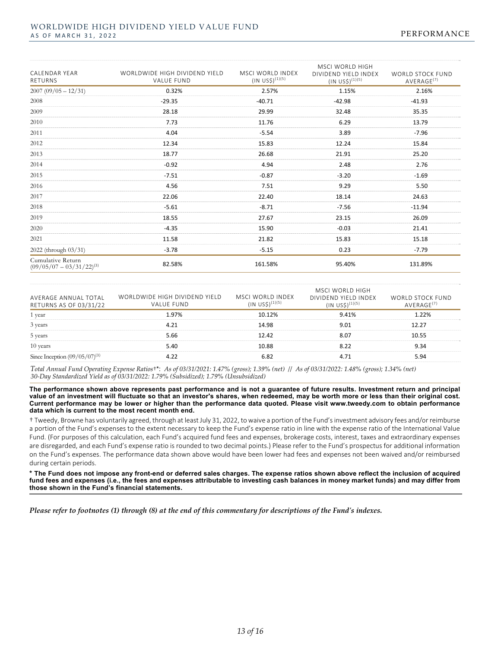| <b>CALENDAR YEAR</b><br>RETURNS                    | WORLDWIDE HIGH DIVIDEND YIELD<br><b>VALUE FUND</b> | MSCI WORLD INDEX<br>$(1N \text{ USS})^{(1)(5)}$ | MSCI WORLD HIGH<br>DIVIDEND YIELD INDEX<br>$(1N \cup S\hat{S})^{(1)(5)}$ | <b>WORLD STOCK FUND</b><br>AVERAGE <sup>(7)</sup> |
|----------------------------------------------------|----------------------------------------------------|-------------------------------------------------|--------------------------------------------------------------------------|---------------------------------------------------|
| $2007(09/05 - 12/31)$                              | 0.32%                                              | 2.57%                                           | 1.15%                                                                    | 2.16%                                             |
| 2008                                               | $-29.35$                                           | $-40.71$                                        | $-42.98$                                                                 | $-41.93$                                          |
| 2009                                               | 28.18                                              | 29.99                                           | 32.48                                                                    | 35.35                                             |
| 2010                                               | 7.73                                               | 11.76                                           | 6.29                                                                     | 13.79                                             |
| 2011                                               | 4.04                                               | $-5.54$                                         | 3.89                                                                     | $-7.96$                                           |
| 2012                                               | 12.34                                              | 15.83                                           | 12.24                                                                    | 15.84                                             |
| 2013                                               | 18.77                                              | 26.68                                           | 21.91                                                                    | 25.20                                             |
| 2014                                               | $-0.92$                                            | 4.94                                            | 2.48                                                                     | 2.76                                              |
| 2015                                               | $-7.51$                                            | $-0.87$                                         | $-3.20$                                                                  | $-1.69$                                           |
| 2016                                               | 4.56                                               | 7.51                                            | 9.29                                                                     | 5.50                                              |
| 2017                                               | 22.06                                              | 22.40                                           | 18.14                                                                    | 24.63                                             |
| 2018                                               | $-5.61$                                            | $-8.71$                                         | $-7.56$                                                                  | $-11.94$                                          |
| 2019                                               | 18.55                                              | 27.67                                           | 23.15                                                                    | 26.09                                             |
| 2020                                               | $-4.35$                                            | 15.90                                           | $-0.03$                                                                  | 21.41                                             |
| 2021                                               | 11.58                                              | 21.82                                           | 15.83                                                                    | 15.18                                             |
| 2022 (through 03/31)                               | $-3.78$                                            | $-5.15$                                         | 0.23                                                                     | $-7.79$                                           |
| Cumulative Return<br>$(09/05/07 - 03/31/22)^{(3)}$ | 82.58%                                             | 161.58%                                         | 95.40%                                                                   | 131.89%                                           |

| AVERAGE ANNUAL TOTAL<br>RETURNS AS OF 03/31/22 | WORLDWIDE HIGH DIVIDEND YIELD<br>VALUE FUND | MSCI WORLD INDEX | MSCI WORLD HIGH<br>DIVIDEND YIELD INDEX | WORLD STOCK FUND<br>AVFRAGF <sup>(7)</sup> |
|------------------------------------------------|---------------------------------------------|------------------|-----------------------------------------|--------------------------------------------|
| vear                                           | 97%                                         | 10 1 2%          | $9.41\%$                                |                                            |
| 3 years                                        |                                             | 14 98            |                                         |                                            |
| 5 years                                        | 5.66                                        | 12 42            |                                         |                                            |
| 10 years                                       | 5.40                                        | 10.88            |                                         |                                            |
|                                                |                                             |                  |                                         | ร ฉ⊿                                       |

Total Annual Fund Operating Expense Ratios<sup>+\*</sup>: As of 03/31/2021: 1.47% (gross); 1.39% (net) // As of 03/31/2022: 1.48% (gross); 1.34% (net) *30‐Day Standardized Yield as of 03/31/2022: 1.79% (Subsidized); 1.79% (Unsubsidized)*

**The performance shown above represents past performance and is not a guarantee of future results. Investment return and principal value of an investment will fluctuate so that an investor's shares, when redeemed, may be worth more or less than their original cost. Current performance may be lower or higher than the performance data quoted. Please visit www.tweedy.com to obtain performance data which is current to the most recent month end.** 

† Tweedy, Browne has voluntarily agreed, through at least July 31, 2022, towaive a portion of the Fund'sinvestment advisory fees and/or reimburse a portion of the Fund's expenses to the extent necessary to keep the Fund's expense ratio in line with the expense ratio of the International Value Fund. (For purposes of this calculation, each Fund's acquired fund fees and expenses, brokerage costs, interest, taxes and extraordinary expenses are disregarded, and each Fund's expense ratio is rounded to two decimal points.) Please refer to the Fund's prospectus for additional information on the Fund's expenses. The performance data shown above would have been lower had fees and expenses not been waived and/or reimbursed during certain periods.

**\* The Fund does not impose any front-end or deferred sales charges. The expense ratios shown above reflect the inclusion of acquired fund fees and expenses (i.e., the fees and expenses attributable to investing cash balances in money market funds) and may differ from those shown in the Fund's financial statements.**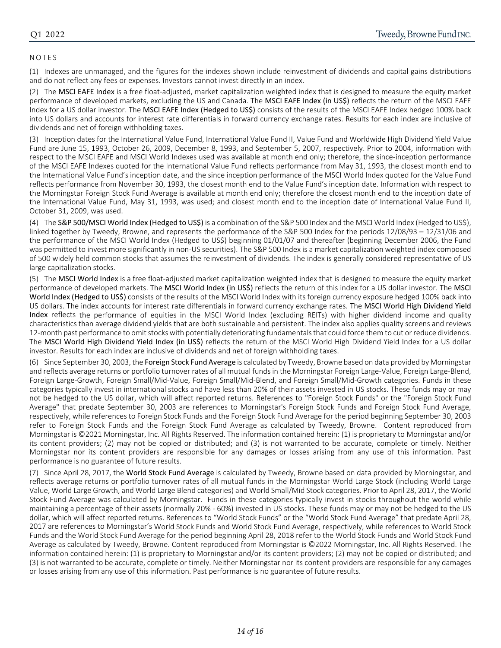#### NOTES

(1) Indexes are unmanaged, and the figures for the indexes shown include reinvestment of dividends and capital gains distributions and do not reflect any fees or expenses. Investors cannot invest directly in an index.

(2) The MSCI EAFE Index is a free float‐adjusted, market capitalization weighted index that is designed to measure the equity market performance of developed markets, excluding the US and Canada. The MSCI EAFE Index (in US\$) reflects the return of the MSCI EAFE Index for a US dollar investor. The MSCI EAFE Index (Hedged to US\$) consists of the results of the MSCI EAFE Index hedged 100% back into US dollars and accounts for interest rate differentials in forward currency exchange rates. Results for each index are inclusive of dividends and net of foreign withholding taxes.

(3) Inception dates for the International Value Fund, International Value Fund II, Value Fund and Worldwide High Dividend Yield Value Fund are June 15, 1993, October 26, 2009, December 8, 1993, and September 5, 2007, respectively. Prior to 2004, information with respect to the MSCI EAFE and MSCI World Indexes used was available at month end only; therefore, the since-inception performance of the MSCI EAFE Indexes quoted for the International Value Fund reflects performance from May 31, 1993, the closest month end to the International Value Fund's inception date, and the since inception performance of the MSCI World Index quoted for the Value Fund reflects performance from November 30, 1993, the closest month end to the Value Fund's inception date. Information with respect to the Morningstar Foreign Stock Fund Average is available at month end only; therefore the closest month end to the inception date of the International Value Fund, May 31, 1993, was used; and closest month end to the inception date of International Value Fund II, October 31, 2009, was used.

(4) The S&P 500/MSCI World Index (Hedged to US\$) is a combination of the S&P 500 Index and the MSCI World Index (Hedged to US\$), linked together by Tweedy, Browne, and represents the performance of the S&P 500 Index for the periods 12/08/93 – 12/31/06 and the performance of the MSCI World Index (Hedged to US\$) beginning 01/01/07 and thereafter (beginning December 2006, the Fund was permitted to invest more significantly in non-US securities). The S&P 500 Index is a market capitalization weighted index composed of 500 widely held common stocks that assumes the reinvestment of dividends. The index is generally considered representative of US large capitalization stocks.

(5) The MSCI World Index is a free float‐adjusted market capitalization weighted index that is designed to measure the equity market performance of developed markets. The MSCI World Index (in US\$) reflects the return of this index for a US dollar investor. The MSCI World Index (Hedged to US\$) consists of the results of the MSCI World Index with its foreign currency exposure hedged 100% back into US dollars. The index accounts for interest rate differentials in forward currency exchange rates. The MSCI World High Dividend Yield Index reflects the performance of equities in the MSCI World Index (excluding REITs) with higher dividend income and quality characteristics than average dividend yields that are both sustainable and persistent. The index also applies quality screens and reviews 12-month past performance to omit stocks with potentially deteriorating fundamentals that could force them to cut or reduce dividends. The MSCI World High Dividend Yield Index (in US\$) reflects the return of the MSCI World High Dividend Yield Index for a US dollar investor. Results for each index are inclusive of dividends and net of foreign withholding taxes.

(6) Since September 30, 2003, the Foreign Stock Fund Average is calculated by Tweedy, Browne based on data provided by Morningstar and reflects average returns or portfolio turnover rates of all mutual fundsin the Morningstar Foreign Large‐Value, Foreign Large‐Blend, Foreign Large‐Growth, Foreign Small/Mid‐Value, Foreign Small/Mid‐Blend, and Foreign Small/Mid‐Growth categories. Funds in these categories typically invest in international stocks and have less than 20% of their assets invested in US stocks. These funds may or may not be hedged to the US dollar, which will affect reported returns. References to "Foreign Stock Funds" or the "Foreign Stock Fund Average" that predate September 30, 2003 are references to Morningstar's Foreign Stock Funds and Foreign Stock Fund Average, respectively, while references to Foreign Stock Funds and the Foreign Stock Fund Average for the period beginning September 30, 2003 refer to Foreign Stock Funds and the Foreign Stock Fund Average as calculated by Tweedy, Browne. Content reproduced from Morningstar is ©2021 Morningstar, Inc. All Rights Reserved. The information contained herein: (1) is proprietary to Morningstar and/or its content providers; (2) may not be copied or distributed; and (3) is not warranted to be accurate, complete or timely. Neither Morningstar nor its content providers are responsible for any damages or losses arising from any use of this information. Past performance is no guarantee of future results.

(7) Since April 28, 2017, the World Stock Fund Average is calculated by Tweedy, Browne based on data provided by Morningstar, and reflects average returns or portfolio turnover rates of all mutual funds in the Morningstar World Large Stock (including World Large Value, World Large Growth, and World Large Blend categories) and World Small/Mid Stock categories. Prior to April 28, 2017, the World Stock Fund Average was calculated by Morningstar. Funds in these categories typically invest in stocks throughout the world while maintaining a percentage of their assets (normally 20% ‐ 60%) invested in US stocks. These funds may or may not be hedged to the US dollar, which will affect reported returns. References to "World Stock Funds" or the "World Stock Fund Average" that predate April 28, 2017 are references to Morningstar's World Stock Funds and World Stock Fund Average, respectively, while references to World Stock Funds and the World Stock Fund Average for the period beginning April 28, 2018 refer to the World Stock Funds and World Stock Fund Average as calculated by Tweedy, Browne. Content reproduced from Morningstar is ©2022 Morningstar, Inc. All Rights Reserved. The information contained herein: (1) is proprietary to Morningstar and/or its content providers; (2) may not be copied or distributed; and (3) is not warranted to be accurate, complete or timely. Neither Morningstar nor its content providers are responsible for any damages or losses arising from any use of this information. Past performance is no guarantee of future results.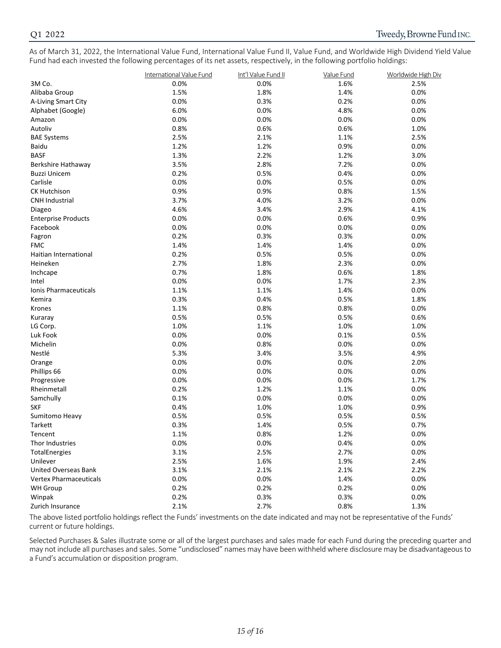As of March 31, 2022, the International Value Fund, International Value Fund II, Value Fund, and Worldwide High Dividend Yield Value Fund had each invested the following percentages of its net assets, respectively, in the following portfolio holdings:

|                               | International Value Fund | Int'l Value Fund II | Value Fund | Worldwide High Div |
|-------------------------------|--------------------------|---------------------|------------|--------------------|
| 3M Co.                        | 0.0%                     | 0.0%                | 1.6%       | 2.5%               |
| Alibaba Group                 | 1.5%                     | 1.8%                | 1.4%       | 0.0%               |
| A-Living Smart City           | 0.0%                     | 0.3%                | 0.2%       | 0.0%               |
| Alphabet (Google)             | 6.0%                     | 0.0%                | 4.8%       | 0.0%               |
| Amazon                        | 0.0%                     | 0.0%                | 0.0%       | 0.0%               |
| Autoliv                       | 0.8%                     | 0.6%                | 0.6%       | 1.0%               |
| <b>BAE Systems</b>            | 2.5%                     | 2.1%                | 1.1%       | 2.5%               |
| Baidu                         | 1.2%                     | 1.2%                | 0.9%       | 0.0%               |
| <b>BASF</b>                   | 1.3%                     | 2.2%                | 1.2%       | 3.0%               |
| Berkshire Hathaway            | 3.5%                     | 2.8%                | 7.2%       | 0.0%               |
| <b>Buzzi Unicem</b>           | 0.2%                     | 0.5%                | 0.4%       | 0.0%               |
| Carlisle                      | 0.0%                     | 0.0%                | 0.5%       | 0.0%               |
| <b>CK Hutchison</b>           | 0.9%                     | 0.9%                | 0.8%       | 1.5%               |
| <b>CNH Industrial</b>         | 3.7%                     | 4.0%                | 3.2%       | 0.0%               |
| Diageo                        | 4.6%                     | 3.4%                | 2.9%       | 4.1%               |
| <b>Enterprise Products</b>    | 0.0%                     | 0.0%                | 0.6%       | 0.9%               |
| Facebook                      | 0.0%                     | 0.0%                | 0.0%       | 0.0%               |
| Fagron                        | 0.2%                     | 0.3%                | 0.3%       | 0.0%               |
| <b>FMC</b>                    | 1.4%                     | 1.4%                | 1.4%       | 0.0%               |
| Haitian International         | 0.2%                     | 0.5%                | 0.5%       | 0.0%               |
| Heineken                      | 2.7%                     | 1.8%                | 2.3%       | 0.0%               |
| Inchcape                      | 0.7%                     | 1.8%                | 0.6%       | 1.8%               |
| Intel                         | 0.0%                     | 0.0%                | 1.7%       | 2.3%               |
| Ionis Pharmaceuticals         | 1.1%                     | 1.1%                | 1.4%       | 0.0%               |
| Kemira                        | 0.3%                     | 0.4%                | 0.5%       | 1.8%               |
| Krones                        | 1.1%                     | 0.8%                | 0.8%       | 0.0%               |
| Kuraray                       | 0.5%                     | 0.5%                | 0.5%       | 0.6%               |
| LG Corp.                      | 1.0%                     | 1.1%                | 1.0%       | 1.0%               |
| Luk Fook                      | 0.0%                     | 0.0%                | 0.1%       | 0.5%               |
| Michelin                      | 0.0%                     | 0.8%                | 0.0%       | 0.0%               |
| Nestlé                        | 5.3%                     | 3.4%                | 3.5%       | 4.9%               |
| Orange                        | 0.0%                     | 0.0%                | 0.0%       | 2.0%               |
| Phillips 66                   | 0.0%                     | 0.0%                | 0.0%       | 0.0%               |
| Progressive                   | 0.0%                     | 0.0%                | 0.0%       | 1.7%               |
| Rheinmetall                   | 0.2%                     | 1.2%                | 1.1%       | 0.0%               |
| Samchully                     | 0.1%                     | 0.0%                | 0.0%       | 0.0%               |
| <b>SKF</b>                    | 0.4%                     | 1.0%                | 1.0%       | 0.9%               |
| Sumitomo Heavy                | 0.5%                     | 0.5%                | 0.5%       | 0.5%               |
| Tarkett                       | 0.3%                     | 1.4%                | 0.5%       | 0.7%               |
| Tencent                       | 1.1%                     | 0.8%                | 1.2%       | 0.0%               |
| Thor Industries               | 0.0%                     | 0.0%                | 0.4%       | 0.0%               |
| TotalEnergies                 | 3.1%                     | 2.5%                | 2.7%       | 0.0%               |
| Unilever                      | 2.5%                     | 1.6%                | 1.9%       | 2.4%               |
| <b>United Overseas Bank</b>   | 3.1%                     | 2.1%                | 2.1%       | 2.2%               |
| <b>Vertex Pharmaceuticals</b> | 0.0%                     | 0.0%                | 1.4%       | 0.0%               |
| <b>WH Group</b>               | 0.2%                     | 0.2%                | 0.2%       | 0.0%               |
| Winpak                        | 0.2%                     | 0.3%                | 0.3%       | 0.0%               |
| Zurich Insurance              | 2.1%                     | 2.7%                | 0.8%       | 1.3%               |

The above listed portfolio holdings reflect the Funds' investments on the date indicated and may not be representative of the Funds' current or future holdings.

Selected Purchases & Sales illustrate some or all of the largest purchases and sales made for each Fund during the preceding quarter and may not include all purchases and sales. Some "undisclosed" names may have been withheld where disclosure may be disadvantageousto a Fund's accumulation or disposition program.